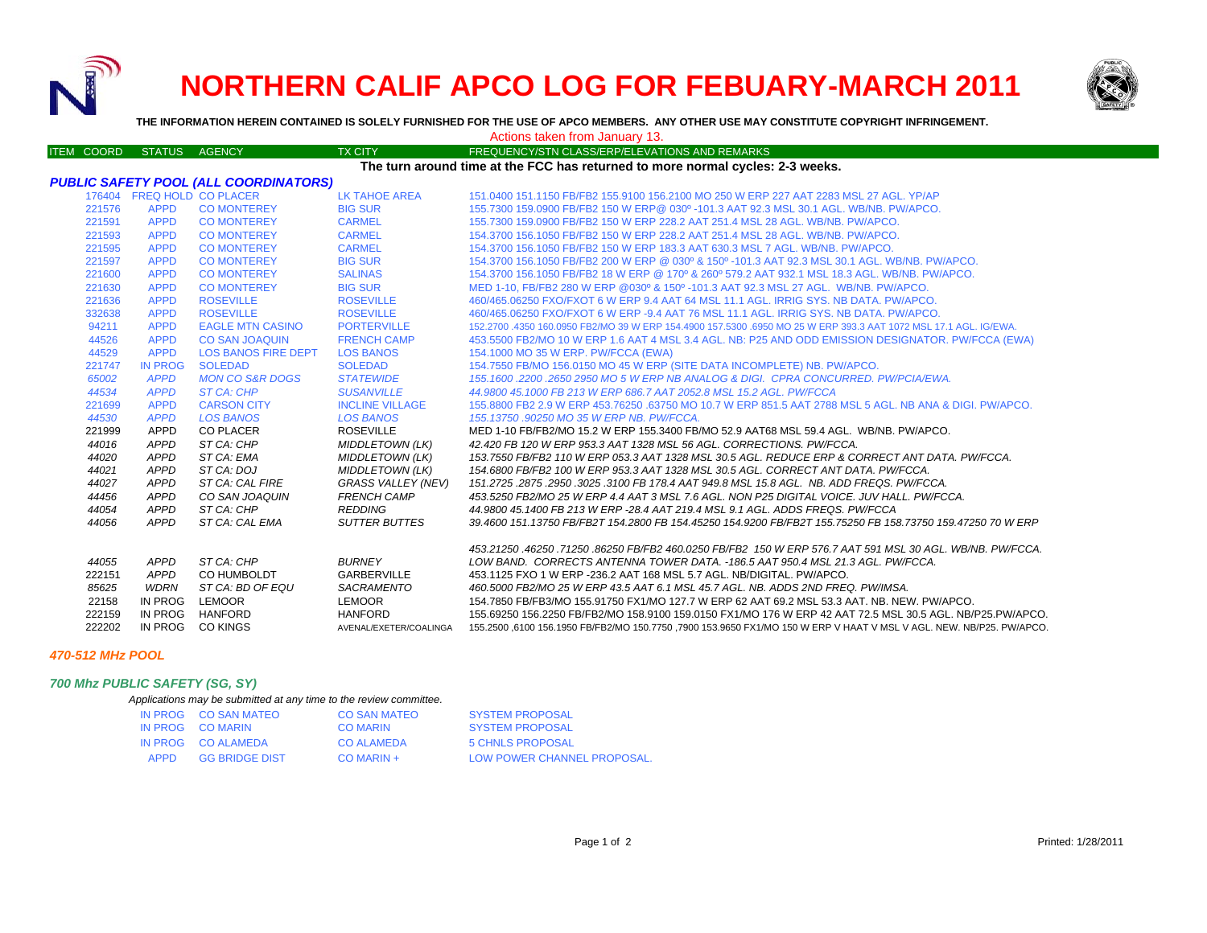

# **NORTHERN CALIF APCO LOG FOR FEBUARY-MARCH 2011**



**THE INFORMATION HEREIN CONTAINED IS SOLELY FURNISHED FOR THE USE OF APCO MEMBERS. ANY OTHER USE MAY CONSTITUTE COPYRIGHT INFRINGEMENT.**

| Actions taken from January 13. |  |
|--------------------------------|--|
|--------------------------------|--|

| ITEM COORD STATUS AGENCY                                                       |                 |                                              | <b>TX CITY</b>         | FREQUENCY/STN CLASS/ERP/ELEVATIONS AND REMARKS                                                                                                                                 |
|--------------------------------------------------------------------------------|-----------------|----------------------------------------------|------------------------|--------------------------------------------------------------------------------------------------------------------------------------------------------------------------------|
| The turn around time at the FCC has returned to more normal cycles: 2-3 weeks. |                 |                                              |                        |                                                                                                                                                                                |
|                                                                                |                 | <b>PUBLIC SAFETY POOL (ALL COORDINATORS)</b> |                        |                                                                                                                                                                                |
|                                                                                |                 | 176404 FREQ HOLD CO PLACER                   | LK TAHOE AREA          | 151.0400 151.1150 FB/FB2 155.9100 156.2100 MO 250 W ERP 227 AAT 2283 MSL 27 AGL. YP/AP                                                                                         |
| 221576                                                                         | <b>APPD</b>     | <b>CO MONTEREY</b>                           | <b>BIG SUR</b>         | 155.7300 159.0900 FB/FB2 150 W ERP@ 030º -101.3 AAT 92.3 MSL 30.1 AGL, WB/NB, PW/APCO,                                                                                         |
| 221591                                                                         | <b>APPD</b>     | <b>CO MONTEREY</b>                           | <b>CARMEL</b>          | 155,7300 159,0900 FB/FB2 150 W ERP 228.2 AAT 251.4 MSL 28 AGL, WB/NB, PW/APCO,                                                                                                 |
| 221593                                                                         | <b>APPD</b>     | <b>CO MONTEREY</b>                           | <b>CARMEL</b>          | 154,3700 156,1050 FB/FB2 150 W ERP 228.2 AAT 251.4 MSL 28 AGL, WB/NB, PW/APCO,                                                                                                 |
| 221595                                                                         | <b>APPD</b>     | <b>CO MONTEREY</b>                           | <b>CARMEL</b>          | 154,3700 156,1050 FB/FB2 150 W ERP 183,3 AAT 630,3 MSL 7 AGL, WB/NB, PW/APCO,                                                                                                  |
| 221597                                                                         | <b>APPD</b>     | <b>CO MONTEREY</b>                           | <b>BIG SUR</b>         | 154,3700 156,1050 FB/FB2 200 W ERP @ 030° & 150° -101.3 AAT 92.3 MSL 30.1 AGL, WB/NB, PW/APCO,                                                                                 |
| 221600                                                                         | <b>APPD</b>     | <b>CO MONTEREY</b>                           | <b>SALINAS</b>         | 154,3700 156,1050 FB/FB2 18 W ERP @ 170° & 260° 579,2 AAT 932,1 MSL 18.3 AGL, WB/NB, PW/APCO,                                                                                  |
| 221630                                                                         | <b>APPD</b>     | <b>CO MONTEREY</b>                           | <b>BIG SUR</b>         | MED 1-10, FB/FB2 280 W ERP @030° & 150° -101.3 AAT 92.3 MSL 27 AGL. WB/NB, PW/APCO,                                                                                            |
| 221636                                                                         | <b>APPD</b>     | <b>ROSEVILLE</b>                             | <b>ROSEVILLE</b>       | 460/465.06250 FXO/FXOT 6 W ERP 9.4 AAT 64 MSL 11.1 AGL, IRRIG SYS, NB DATA, PW/APCO,                                                                                           |
| 332638                                                                         | <b>APPD</b>     | <b>ROSEVILLE</b>                             | <b>ROSEVILLE</b>       | 460/465,06250 FXO/FXOT 6 W ERP -9.4 AAT 76 MSL 11.1 AGL. IRRIG SYS, NB DATA, PW/APCO,                                                                                          |
| 94211                                                                          | <b>APPD</b>     | <b>EAGLE MTN CASINO</b>                      | <b>PORTERVILLE</b>     | 152,2700 .4350 160,0950 FB2/MO 39 W ERP 154,4900 157,5300 .6950 MO 25 W ERP 393.3 AAT 1072 MSL 17.1 AGL, IG/EWA                                                                |
| 44526                                                                          | <b>APPD</b>     | <b>CO SAN JOAQUIN</b>                        | <b>FRENCH CAMP</b>     | 453.5500 FB2/MO 10 W ERP 1.6 AAT 4 MSL 3.4 AGL. NB: P25 AND ODD EMISSION DESIGNATOR. PW/FCCA (EWA)                                                                             |
| 44529                                                                          | <b>APPD</b>     | <b>LOS BANOS FIRE DEPT</b>                   | <b>LOS BANOS</b>       | 154.1000 MO 35 W ERP. PW/FCCA (EWA)                                                                                                                                            |
| 221747                                                                         | <b>IN PROG</b>  | <b>SOLEDAD</b>                               | <b>SOLEDAD</b>         | 154.7550 FB/MO 156.0150 MO 45 W ERP (SITE DATA INCOMPLETE) NB. PW/APCO.                                                                                                        |
| 65002                                                                          | <b>APPD</b>     | <b>MON CO S&amp;R DOGS</b>                   | <b>STATEWIDE</b>       | 155.1600.2200.2650 2950 MO 5 W ERP NB ANALOG & DIGI. CPRA CONCURRED. PW/PCIA/EWA.                                                                                              |
| 44534                                                                          | <b>APPD</b>     | <b>ST CA: CHP</b>                            | <b>SUSANVILLE</b>      | 44.9800 45.1000 FB 213 W ERP 686.7 AAT 2052.8 MSL 15.2 AGL. PW/FCCA                                                                                                            |
| 221699                                                                         | <b>APPD</b>     | <b>CARSON CITY</b>                           | <b>INCLINE VILLAGE</b> | 155.8800 FB2 2.9 W ERP 453.76250 .63750 MO 10.7 W ERP 851.5 AAT 2788 MSL 5 AGL. NB ANA & DIGI. PW/APCO.                                                                        |
| 44530                                                                          | <b>APPD</b>     | <b>LOS BANOS</b>                             | <b>LOS BANOS</b>       | 155.13750.90250 MO 35 W ERP NB. PW/FCCA.                                                                                                                                       |
| 221999                                                                         | APPD            | CO PLACER                                    | <b>ROSEVILLE</b>       | MED 1-10 FB/FB2/MO 15.2 W ERP 155.3400 FB/MO 52.9 AAT68 MSL 59.4 AGL. WB/NB, PW/APCO,                                                                                          |
| 44016                                                                          | APPD            | ST CA: CHP                                   | <b>MIDDLETOWN (LK)</b> | 42.420 FB 120 W ERP 953.3 AAT 1328 MSL 56 AGL. CORRECTIONS. PW/FCCA.                                                                                                           |
| 44020                                                                          | APPD            | ST CA: EMA                                   | <b>MIDDLETOWN (LK)</b> | 153.7550 FB/FB2 110 W ERP 053.3 AAT 1328 MSL 30.5 AGL. REDUCE ERP & CORRECT ANT DATA. PW/FCCA.                                                                                 |
| 44021                                                                          | APPD            | ST CA: DOJ                                   | <b>MIDDLETOWN (LK)</b> | 154.6800 FB/FB2 100 W ERP 953.3 AAT 1328 MSL 30.5 AGL. CORRECT ANT DATA. PW/FCCA.                                                                                              |
| 44027                                                                          | APPD            | ST CA: CAL FIRE                              | GRASS VALLEY (NEV)     | 151.2725.2875.2950.3025.3100 FB 178.4 AAT 949.8 MSL 15.8 AGL. NB. ADD FREQS. PW/FCCA.                                                                                          |
| 44456                                                                          | APPD            | CO SAN JOAQUIN                               | <b>FRENCH CAMP</b>     | 453.5250 FB2/MO 25 W ERP 4.4 AAT 3 MSL 7.6 AGL. NON P25 DIGITAL VOICE. JUV HALL. PW/FCCA.                                                                                      |
| 44054                                                                          | APPD            | ST CA: CHP                                   | <b>REDDING</b>         | 44.9800 45.1400 FB 213 W ERP -28.4 AAT 219.4 MSL 9.1 AGL. ADDS FREQS. PW/FCCA                                                                                                  |
| 44056                                                                          | APPD            | ST CA: CAL EMA                               | <b>SUTTER BUTTES</b>   | 39.4600 151.13750 FB/FB2T 154.2800 FB 154.45250 154.9200 FB/FB2T 155.75250 FB 158.73750 159.47250 70 W ERP                                                                     |
|                                                                                |                 |                                              |                        |                                                                                                                                                                                |
|                                                                                | APPD            | ST CA: CHP                                   | <b>BURNEY</b>          | 453.21250 .46250 .71250 .86250 FB/FB2 460.0250 FB/FB2 150 W ERP 576.7 AAT 591 MSL 30 AGL. WB/NB. PW/FCCA.                                                                      |
| 44055<br>222151                                                                | APPD            | <b>CO HUMBOLDT</b>                           | GARBERVILLE            | LOW BAND. CORRECTS ANTENNA TOWER DATA. -186.5 AAT 950.4 MSL 21.3 AGL. PW/FCCA.<br>453.1125 FXO 1 W ERP -236.2 AAT 168 MSL 5.7 AGL. NB/DIGITAL. PW/APCO.                        |
|                                                                                |                 |                                              |                        |                                                                                                                                                                                |
| 85625<br>22158                                                                 | WDRN<br>IN PROG | ST CA: BD OF EQU<br>LEMOOR                   | SACRAMENTO<br>LEMOOR   | 460.5000 FB2/MO 25 W ERP 43.5 AAT 6.1 MSL 45.7 AGL. NB. ADDS 2ND FREQ. PW/IMSA.<br>154.7850 FB/FB3/MO 155.91750 FX1/MO 127.7 W ERP 62 AAT 69.2 MSL 53.3 AAT. NB. NEW. PW/APCO. |
| 222159                                                                         | IN PROG         | HANFORD                                      | <b>HANFORD</b>         | 155.69250 156.2250 FB/FB2/MO 158.9100 159.0150 FX1/MO 176 W ERP 42 AAT 72.5 MSL 30.5 AGL. NB/P25.PW/APCO.                                                                      |
| 222202                                                                         |                 | IN PROG CO KINGS                             |                        |                                                                                                                                                                                |
|                                                                                |                 |                                              |                        | AVENAL/EXETER/COALINGA 155.2500 ,6100 156.1950 FB/FB2/MO 150.7750 ,7900 153.9650 FX1/MO 150 W ERP V HAAT V MSL V AGL. NEW. NB/P25. PW/APCO.                                    |

#### *470-512 MHz POOL*

## *700 Mhz PUBLIC SAFETY (SG, SY)*

| Applications may be submitted at any time to the review committee. |
|--------------------------------------------------------------------|
|--------------------------------------------------------------------|

|      | IN PROG CO SAN MATEO  | CO SAN MATEO      | <b>SYSTEM PROPOSAL</b>      |
|------|-----------------------|-------------------|-----------------------------|
|      | IN PROG CO MARIN      | <b>CO MARIN</b>   | <b>SYSTEM PROPOSAL</b>      |
|      | IN PROG CO ALAMEDA    | <b>CO ALAMEDA</b> | 5 CHNLS PROPOSAL            |
| APPD | <b>GG BRIDGE DIST</b> | $CO$ MARIN +      | LOW POWER CHANNEL PROPOSAL. |